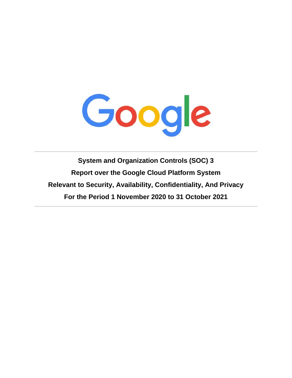

**System and Organization Controls (SOC) 3 Report over the Google Cloud Platform System Relevant to Security, Availability, Confidentiality, And Privacy For the Period 1 November 2020 to 31 October 2021**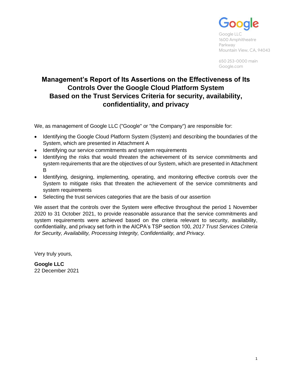

Google LLC 1600 Amphitheatre Parkway Mountain View, CA, 94043

650 253-0000 main Google.com

# **Management's Report of Its Assertions on the Effectiveness of Its Controls Over the Google Cloud Platform System Based on the Trust Services Criteria for security, availability, confidentiality, and privacy**

We, as management of Google LLC ("Google" or "the Company") are responsible for:

- Identifying the Google Cloud Platform System (System) and describing the boundaries of the System, which are presented in Attachment A
- Identifying our service commitments and system requirements
- Identifying the risks that would threaten the achievement of its service commitments and system requirements that are the objectives of our System, which are presented in Attachment B
- Identifying, designing, implementing, operating, and monitoring effective controls over the System to mitigate risks that threaten the achievement of the service commitments and system requirements
- Selecting the trust services categories that are the basis of our assertion

We assert that the controls over the System were effective throughout the period 1 November 2020 to 31 October 2021, to provide reasonable assurance that the service commitments and system requirements were achieved based on the criteria relevant to security, availability, confidentiality, and privacy set forth in the AICPA's TSP section 100, *2017 Trust Services Criteria for Security, Availability, Processing Integrity, Confidentiality, and Privacy.*

Very truly yours,

**Google LLC** 22 December 2021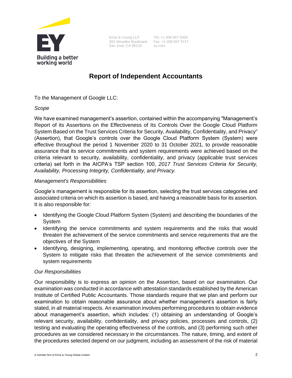

Ernst & Young LLP 303 Almaden Boulevard Fax: +1 408 947 5717 San Jose, CA 95110

Tel: +1 408 947 5500 ey.com

# **Report of Independent Accountants**

To the Management of Google LLC:

*Scope*

We have examined management's assertion, contained within the accompanying "Management's Report of its Assertions on the Effectiveness of Its Controls Over the Google Cloud Platform System Based on the Trust Services Criteria for Security, Availability, Confidentiality, and Privacy" (Assertion), that Google's controls over the Google Cloud Platform System (System) were effective throughout the period 1 November 2020 to 31 October 2021, to provide reasonable assurance that its service commitments and system requirements were achieved based on the criteria relevant to security, availability, confidentiality, and privacy (applicable trust services criteria) set forth in the AICPA's TSP section 100, *2017 Trust Services Criteria for Security, Availability, Processing Integrity, Confidentiality, and Privacy.*

# *Management's Responsibilities*

Google's management is responsible for its assertion, selecting the trust services categories and associated criteria on which its assertion is based, and having a reasonable basis for its assertion. It is also responsible for:

- Identifying the Google Cloud Platform System (System) and describing the boundaries of the System
- Identifying the service commitments and system requirements and the risks that would threaten the achievement of the service commitments and service requirements that are the objectives of the System
- Identifying, designing, implementing, operating, and monitoring effective controls over the System to mitigate risks that threaten the achievement of the service commitments and system requirements

# *Our Responsibilities*

Our responsibility is to express an opinion on the Assertion, based on our examination. Our examination was conducted in accordance with attestation standards established by the American Institute of Certified Public Accountants. Those standards require that we plan and perform our examination to obtain reasonable assurance about whether management's assertion is fairly stated, in all material respects. An examination involves performing procedures to obtain evidence about management's assertion, which includes: (1) obtaining an understanding of Google's relevant security, availability, confidentiality, and privacy policies, processes and controls, (2) testing and evaluating the operating effectiveness of the controls, and (3) performing such other procedures as we considered necessary in the circumstances. The nature, timing, and extent of the procedures selected depend on our judgment, including an assessment of the risk of material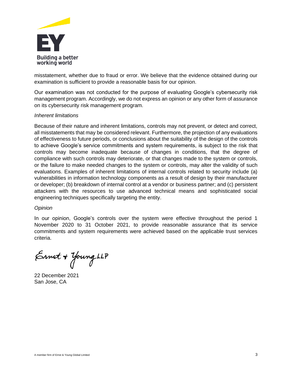

misstatement, whether due to fraud or error. We believe that the evidence obtained during our examination is sufficient to provide a reasonable basis for our opinion.

Our examination was not conducted for the purpose of evaluating Google's cybersecurity risk management program. Accordingly, we do not express an opinion or any other form of assurance on its cybersecurity risk management program.

# *Inherent limitations*

Because of their nature and inherent limitations, controls may not prevent, or detect and correct, all misstatements that may be considered relevant. Furthermore, the projection of any evaluations of effectiveness to future periods, or conclusions about the suitability of the design of the controls to achieve Google's service commitments and system requirements, is subject to the risk that controls may become inadequate because of changes in conditions, that the degree of compliance with such controls may deteriorate, or that changes made to the system or controls, or the failure to make needed changes to the system or controls, may alter the validity of such evaluations. Examples of inherent limitations of internal controls related to security include (a) vulnerabilities in information technology components as a result of design by their manufacturer or developer; (b) breakdown of internal control at a vendor or business partner; and (c) persistent attackers with the resources to use advanced technical means and sophisticated social engineering techniques specifically targeting the entity.

# *Opinion*

In our opinion, Google's controls over the system were effective throughout the period 1 November 2020 to 31 October 2021, to provide reasonable assurance that its service commitments and system requirements were achieved based on the applicable trust services criteria.

Ernet + Young LLP

22 December 2021 San Jose, CA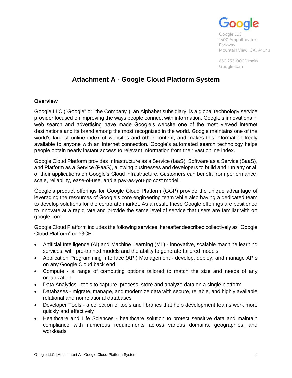

Google LLC 1600 Amphitheatre Parkway Mountain View, CA, 94043

650 253-0000 main Google.com

# **Attachment A - Google Cloud Platform System**

# **Overview**

Google LLC ("Google" or "the Company"), an Alphabet subsidiary, is a global technology service provider focused on improving the ways people connect with information. Google's innovations in web search and advertising have made Google's website one of the most viewed Internet destinations and its brand among the most recognized in the world. Google maintains one of the world's largest online index of websites and other content, and makes this information freely available to anyone with an Internet connection. Google's automated search technology helps people obtain nearly instant access to relevant information from their vast online index.

Google Cloud Platform provides Infrastructure as a Service (IaaS), Software as a Service (SaaS), and Platform as a Service (PaaS), allowing businesses and developers to build and run any or all of their applications on Google's Cloud infrastructure. Customers can benefit from performance, scale, reliability, ease-of-use, and a pay-as-you-go cost model.

Google's product offerings for Google Cloud Platform (GCP) provide the unique advantage of leveraging the resources of Google's core engineering team while also having a dedicated team to develop solutions for the corporate market. As a result, these Google offerings are positioned to innovate at a rapid rate and provide the same level of service that users are familiar with on google.com.

Google Cloud Platform includes the following services, hereafter described collectively as "Google Cloud Platform" or "GCP":

- Artificial Intelligence (AI) and Machine Learning (ML) innovative, scalable machine learning services, with pre-trained models and the ability to generate tailored models
- Application Programming Interface (API) Management develop, deploy, and manage APIs on any Google Cloud back end
- Compute a range of computing options tailored to match the size and needs of any organization
- Data Analytics tools to capture, process, store and analyze data on a single platform
- Databases migrate, manage, and modernize data with secure, reliable, and highly available relational and nonrelational databases
- Developer Tools a collection of tools and libraries that help development teams work more quickly and effectively
- Healthcare and Life Sciences healthcare solution to protect sensitive data and maintain compliance with numerous requirements across various domains, geographies, and workloads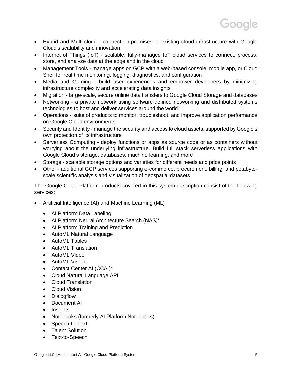- Hybrid and Multi-cloud connect on-premises or existing cloud infrastructure with Google Cloud's scalability and innovation
- Internet of Things (IoT) scalable, fully-managed IoT cloud services to connect, process, store, and analyze data at the edge and in the cloud
- Management Tools manage apps on GCP with a web-based console, mobile app, or Cloud Shell for real time monitoring, logging, diagnostics, and configuration
- Media and Gaming build user experiences and empower developers by minimizing infrastructure complexity and accelerating data insights
- Migration large-scale, secure online data transfers to Google Cloud Storage and databases
- Networking a private network using software-defined networking and distributed systems technologies to host and deliver services around the world
- Operations suite of products to monitor, troubleshoot, and improve application performance on Google Cloud environments
- Security and Identity manage the security and access to cloud assets, supported by Google's own protection of its infrastructure
- Serverless Computing deploy functions or apps as source code or as containers without worrying about the underlying infrastructure. Build full stack serverless applications with Google Cloud's storage, databases, machine learning, and more
- Storage scalable storage options and varieties for different needs and price points
- Other additional GCP services supporting e-commerce, procurement, billing, and petabytescale scientific analysis and visualization of geospatial datasets

The Google Cloud Platform products covered in this system description consist of the following services:

- Artificial Intelligence (AI) and Machine Learning (ML)
	- AI Platform Data Labeling
	- AI Platform Neural Architecture Search (NAS)\*
	- AI Platform Training and Prediction
	- AutoML Natural Language
	- AutoML Tables
	- AutoML Translation
	- AutoML Video
	- AutoML Vision
	- Contact Center AI (CCAI)\*
	- Cloud Natural Language API
	- Cloud Translation
	- Cloud Vision
	- Dialogflow
	- Document AI
	- Insights
	- Notebooks (formerly AI Platform Notebooks)
	- Speech-to-Text
	- **Talent Solution**
	- Text-to-Speech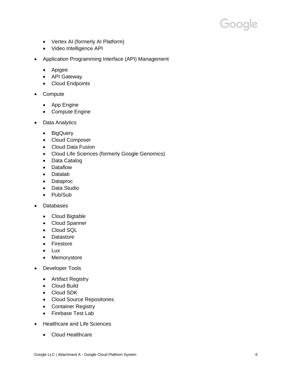- Vertex AI (formerly AI Platform)
- Video Intelligence API
- Application Programming Interface (API) Management
	- Apigee
	- API Gateway
	- Cloud Endpoints
- Compute
	- App Engine
	- Compute Engine
- Data Analytics
	- BigQuery
	- Cloud Composer
	- Cloud Data Fusion
	- Cloud Life Sciences (formerly Google Genomics)
	- Data Catalog
	- Dataflow
	- Datalab
	- Dataproc
	- Data Studio
	- Pub/Sub
- Databases
	- Cloud Bigtable
	- Cloud Spanner
	- Cloud SQL
	- Datastore
	- Firestore
	- Lux
	- Memorystore
- Developer Tools
	- Artifact Registry
	- Cloud Build
	- Cloud SDK
	- Cloud Source Repositories
	- Container Registry
	- Firebase Test Lab
- Healthcare and Life Sciences
	- Cloud Healthcare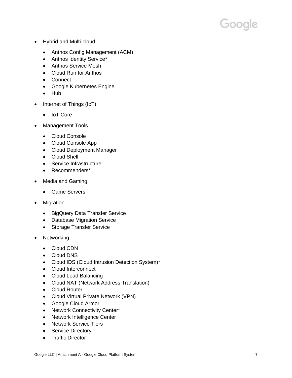- Hybrid and Multi-cloud
	- Anthos Config Management (ACM)
	- Anthos Identity Service\*
	- Anthos Service Mesh
	- Cloud Run for Anthos
	- Connect
	- Google Kubernetes Engine
	- Hub
- Internet of Things (IoT)
	- IoT Core
- Management Tools
	- Cloud Console
	- Cloud Console App
	- Cloud Deployment Manager
	- Cloud Shell
	- Service Infrastructure
	- Recommenders\*
- Media and Gaming
	- Game Servers
- **Migration** 
	- BigQuery Data Transfer Service
	- Database Migration Service
	- Storage Transfer Service
- Networking
	- Cloud CDN
	- Cloud DNS
	- Cloud IDS (Cloud Intrusion Detection System)\*
	- Cloud Interconnect
	- Cloud Load Balancing
	- Cloud NAT (Network Address Translation)
	- Cloud Router
	- Cloud Virtual Private Network (VPN)
	- Google Cloud Armor
	- Network Connectivity Center\*
	- Network Intelligence Center
	- Network Service Tiers
	- Service Directory
	- Traffic Director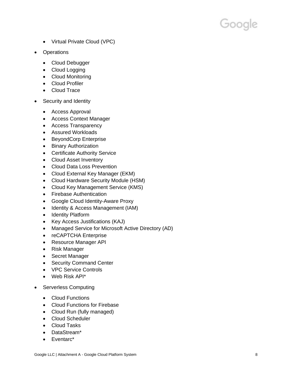- Virtual Private Cloud (VPC)
- Operations
	- Cloud Debugger
	- Cloud Logging
	- Cloud Monitoring
	- Cloud Profiler
	- Cloud Trace
- Security and Identity
	- Access Approval
	- Access Context Manager
	- Access Transparency
	- Assured Workloads
	- BeyondCorp Enterprise
	- Binary Authorization
	- Certificate Authority Service
	- Cloud Asset Inventory
	- Cloud Data Loss Prevention
	- Cloud External Key Manager (EKM)
	- Cloud Hardware Security Module (HSM)
	- Cloud Key Management Service (KMS)
	- Firebase Authentication
	- Google Cloud Identity-Aware Proxy
	- Identity & Access Management (IAM)
	- Identity Platform
	- Key Access Justifications (KAJ)
	- Managed Service for Microsoft Active Directory (AD)
	- reCAPTCHA Enterprise
	- Resource Manager API
	- Risk Manager
	- Secret Manager
	- Security Command Center
	- VPC Service Controls
	- Web Risk API\*
- Serverless Computing
	- Cloud Functions
	- Cloud Functions for Firebase
	- Cloud Run (fully managed)
	- Cloud Scheduler
	- Cloud Tasks
	- DataStream\*
	- Eventarc\*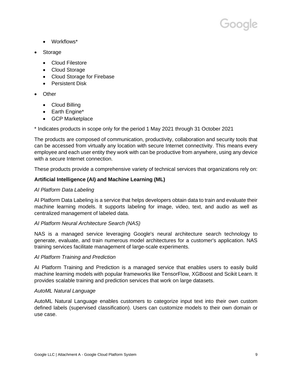

- Workflows\*
- Storage
	- Cloud Filestore
	- Cloud Storage
	- Cloud Storage for Firebase
	- Persistent Disk
- Other
	- Cloud Billing
	- Earth Engine\*
	- GCP Marketplace

\* Indicates products in scope only for the period 1 May 2021 through 31 October 2021

The products are composed of communication, productivity, collaboration and security tools that can be accessed from virtually any location with secure Internet connectivity. This means every employee and each user entity they work with can be productive from anywhere, using any device with a secure Internet connection.

These products provide a comprehensive variety of technical services that organizations rely on:

# **Artificial Intelligence (AI) and Machine Learning (ML)**

# *AI Platform Data Labeling*

AI Platform Data Labeling is a service that helps developers obtain data to train and evaluate their machine learning models. It supports labeling for image, video, text, and audio as well as centralized management of labeled data.

# *AI Platform Neural Architecture Search (NAS)*

NAS is a managed service leveraging Google's neural architecture search technology to generate, evaluate, and train numerous model architectures for a customer's application. NAS training services facilitate management of large-scale experiments.

# *AI Platform Training and Prediction*

AI Platform Training and Prediction is a managed service that enables users to easily build machine learning models with popular frameworks like TensorFlow, XGBoost and Scikit Learn. It provides scalable training and prediction services that work on large datasets.

# *AutoML Natural Language*

AutoML Natural Language enables customers to categorize input text into their own custom defined labels (supervised classification). Users can customize models to their own domain or use case.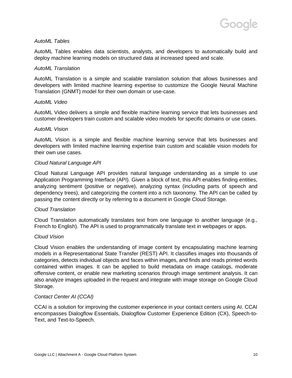# *AutoML Tables*

AutoML Tables enables data scientists, analysts, and developers to automatically build and deploy machine learning models on structured data at increased speed and scale.

# *AutoML Translation*

AutoML Translation is a simple and scalable translation solution that allows businesses and developers with limited machine learning expertise to customize the Google Neural Machine Translation (GNMT) model for their own domain or use-case.

# *AutoML Video*

AutoML Video delivers a simple and flexible machine learning service that lets businesses and customer developers train custom and scalable video models for specific domains or use cases.

# *AutoML Vision*

AutoML Vision is a simple and flexible machine learning service that lets businesses and developers with limited machine learning expertise train custom and scalable vision models for their own use cases.

# *Cloud Natural Language API*

Cloud Natural Language API provides natural language understanding as a simple to use Application Programming Interface (API). Given a block of text, this API enables finding entities, analyzing sentiment (positive or negative), analyzing syntax (including parts of speech and dependency trees), and categorizing the content into a rich taxonomy. The API can be called by passing the content directly or by referring to a document in Google Cloud Storage.

# *Cloud Translation*

Cloud Translation automatically translates text from one language to another language (e.g., French to English). The API is used to programmatically translate text in webpages or apps.

# *Cloud Vision*

Cloud Vision enables the understanding of image content by encapsulating machine learning models in a Representational State Transfer (REST) API. It classifies images into thousands of categories, detects individual objects and faces within images, and finds and reads printed words contained within images. It can be applied to build metadata on image catalogs, moderate offensive content, or enable new marketing scenarios through image sentiment analysis. It can also analyze images uploaded in the request and integrate with image storage on Google Cloud Storage.

# *Contact Center AI (CCAI)*

CCAI is a solution for improving the customer experience in your contact centers using AI. CCAI encompasses Dialogflow Essentials, Dialogflow Customer Experience Edition (CX), Speech-to-Text, and Text-to-Speech.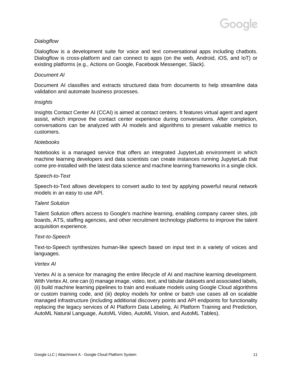# *Dialogflow*

Dialogflow is a development suite for voice and text conversational apps including chatbots. Dialogflow is cross-platform and can connect to apps (on the web, Android, iOS, and IoT) or existing platforms (e.g., Actions on Google, Facebook Messenger, Slack).

# *Document AI*

Document AI classifies and extracts structured data from documents to help streamline data validation and automate business processes.

# *Insights*

Insights Contact Center AI (CCAI) is aimed at contact centers. It features virtual agent and agent assist, which improve the contact center experience during conversations. After completion, conversations can be analyzed with AI models and algorithms to present valuable metrics to customers.

# *Notebooks*

Notebooks is a managed service that offers an integrated JupyterLab environment in which machine learning developers and data scientists can create instances running JupyterLab that come pre-installed with the latest data science and machine learning frameworks in a single click.

# *Speech-to-Text*

Speech-to-Text allows developers to convert audio to text by applying powerful neural network models in an easy to use API.

# *Talent Solution*

Talent Solution offers access to Google's machine learning, enabling company career sites, job boards, ATS, staffing agencies, and other recruitment technology platforms to improve the talent acquisition experience.

# *Text-to-Speech*

Text-to-Speech synthesizes human-like speech based on input text in a variety of voices and languages.

# *Vertex AI*

Vertex AI is a service for managing the entire lifecycle of AI and machine learning development. With Vertex AI, one can (i) manage image, video, text, and tabular datasets and associated labels, (ii) build machine learning pipelines to train and evaluate models using Google Cloud algorithms or custom training code, and (iii) deploy models for online or batch use cases all on scalable managed infrastructure (including additional discovery points and API endpoints for functionality replacing the legacy services of AI Platform Data Labeling, AI Platform Training and Prediction, AutoML Natural Language, AutoML Video, AutoML Vision, and AutoML Tables).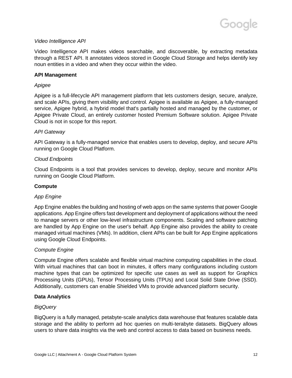# *Video Intelligence API*

Video Intelligence API makes videos searchable, and discoverable, by extracting metadata through a REST API. It annotates videos stored in Google Cloud Storage and helps identify key noun entities in a video and when they occur within the video.

# **API Management**

# *Apigee*

Apigee is a full-lifecycle API management platform that lets customers design, secure, analyze, and scale APIs, giving them visibility and control. Apigee is available as Apigee, a fully-managed service, Apigee hybrid, a hybrid model that's partially hosted and managed by the customer, or Apigee Private Cloud, an entirely customer hosted Premium Software solution. Apigee Private Cloud is not in scope for this report.

# *API Gateway*

API Gateway is a fully-managed service that enables users to develop, deploy, and secure APIs running on Google Cloud Platform.

# *Cloud Endpoints*

Cloud Endpoints is a tool that provides services to develop, deploy, secure and monitor APIs running on Google Cloud Platform.

# **Compute**

# *App Engine*

App Engine enables the building and hosting of web apps on the same systems that power Google applications. App Engine offers fast development and deployment of applications without the need to manage servers or other low-level infrastructure components. Scaling and software patching are handled by App Engine on the user's behalf. App Engine also provides the ability to create managed virtual machines (VMs). In addition, client APIs can be built for App Engine applications using Google Cloud Endpoints.

# *Compute Engine*

Compute Engine offers scalable and flexible virtual machine computing capabilities in the cloud. With virtual machines that can boot in minutes, it offers many configurations including custom machine types that can be optimized for specific use cases as well as support for Graphics Processing Units (GPUs), Tensor Processing Units (TPUs) and Local Solid State Drive (SSD). Additionally, customers can enable Shielded VMs to provide advanced platform security.

# **Data Analytics**

# *BigQuery*

BigQuery is a fully managed, petabyte-scale analytics data warehouse that features scalable data storage and the ability to perform ad hoc queries on multi-terabyte datasets. BigQuery allows users to share data insights via the web and control access to data based on business needs.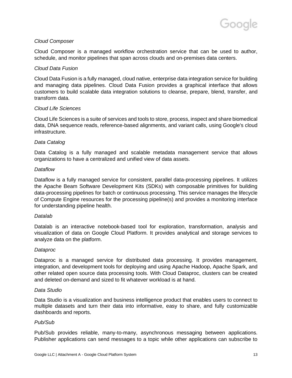# *Cloud Composer*

Cloud Composer is a managed workflow orchestration service that can be used to author, schedule, and monitor pipelines that span across clouds and on-premises data centers.

# *Cloud Data Fusion*

Cloud Data Fusion is a fully managed, cloud native, enterprise data integration service for building and managing data pipelines. Cloud Data Fusion provides a graphical interface that allows customers to build scalable data integration solutions to cleanse, prepare, blend, transfer, and transform data.

# *Cloud Life Sciences*

Cloud Life Sciences is a suite of services and tools to store, process, inspect and share biomedical data, DNA sequence reads, reference-based alignments, and variant calls, using Google's cloud infrastructure.

# *Data Catalog*

Data Catalog is a fully managed and scalable metadata management service that allows organizations to have a centralized and unified view of data assets.

# *Dataflow*

Dataflow is a fully managed service for consistent, parallel data-processing pipelines. It utilizes the Apache Beam Software Development Kits (SDKs) with composable primitives for building data-processing pipelines for batch or continuous processing. This service manages the lifecycle of Compute Engine resources for the processing pipeline(s) and provides a monitoring interface for understanding pipeline health.

# *Datalab*

Datalab is an interactive notebook-based tool for exploration, transformation, analysis and visualization of data on Google Cloud Platform. It provides analytical and storage services to analyze data on the platform.

# *Dataproc*

Dataproc is a managed service for distributed data processing. It provides management, integration, and development tools for deploying and using Apache Hadoop, Apache Spark, and other related open source data processing tools. With Cloud Dataproc, clusters can be created and deleted on-demand and sized to fit whatever workload is at hand.

# *Data Studio*

Data Studio is a visualization and business intelligence product that enables users to connect to multiple datasets and turn their data into informative, easy to share, and fully customizable dashboards and reports.

# *Pub/Sub*

Pub/Sub provides reliable, many-to-many, asynchronous messaging between applications. Publisher applications can send messages to a topic while other applications can subscribe to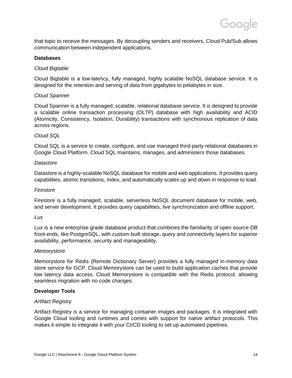that topic to receive the messages. By decoupling senders and receivers, Cloud Pub/Sub allows communication between independent applications.

# **Databases**

# *Cloud Bigtable*

Cloud Bigtable is a low-latency, fully managed, highly scalable NoSQL database service. It is designed for the retention and serving of data from gigabytes to petabytes in size.

# *Cloud Spanner*

Cloud Spanner is a fully managed, scalable, relational database service. It is designed to provide a scalable online transaction processing (OLTP) database with high availability and ACID (Atomicity, Consistency, Isolation, Durability) transactions with synchronous replication of data across regions.

# *Cloud SQL*

Cloud SQL is a service to create, configure, and use managed third-party relational databases in Google Cloud Platform. Cloud SQL maintains, manages, and administers those databases.

# *Datastore*

Datastore is a highly-scalable NoSQL database for mobile and web applications. It provides query capabilities, atomic transitions, index, and automatically scales up and down in response to load.

# *Firestore*

Firestore is a fully managed, scalable, serverless NoSQL document database for mobile, web, and server development. It provides query capabilities, live synchronization and offline support.

# *Lux*

Lux is a new enterprise grade database product that combines the familiarity of open source DB front-ends, like PostgreSQL, with custom-built storage, query and connectivity layers for superior availability, performance, security and manageability.

# *Memorystore*

Memorystore for Redis (Remote Dictionary Server) provides a fully managed in-memory data store service for GCP. Cloud Memorystore can be used to build application caches that provide low latency data access. Cloud Memorystore is compatible with the Redis protocol, allowing seamless migration with no code changes.

# **Developer Tools**

# *Artifact Registry*

Artifact Registry is a service for managing container images and packages. It is integrated with Google Cloud tooling and runtimes and comes with support for native artifact protocols. This makes it simple to integrate it with your CI/CD tooling to set up automated pipelines.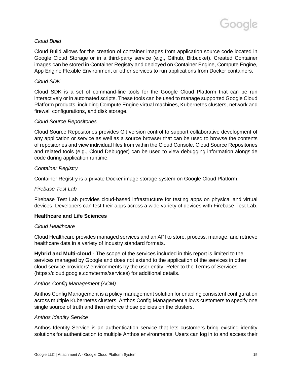# *Cloud Build*

Cloud Build allows for the creation of container images from application source code located in Google Cloud Storage or in a third-party service (e.g., Github, Bitbucket). Created Container images can be stored in Container Registry and deployed on Container Engine, Compute Engine, App Engine Flexible Environment or other services to run applications from Docker containers.

# *Cloud SDK*

Cloud SDK is a set of command-line tools for the Google Cloud Platform that can be run interactively or in automated scripts. These tools can be used to manage supported Google Cloud Platform products, including Compute Engine virtual machines, Kubernetes clusters, network and firewall configurations, and disk storage.

# *Cloud Source Repositories*

Cloud Source Repositories provides Git version control to support collaborative development of any application or service as well as a source browser that can be used to browse the contents of repositories and view individual files from within the Cloud Console. Cloud Source Repositories and related tools (e.g., Cloud Debugger) can be used to view debugging information alongside code during application runtime.

# *Container Registry*

Container Registry is a private Docker image storage system on Google Cloud Platform.

# *Firebase Test Lab*

Firebase Test Lab provides cloud-based infrastructure for testing apps on physical and virtual devices. Developers can test their apps across a wide variety of devices with Firebase Test Lab.

# **Healthcare and Life Sciences**

# *Cloud Healthcare*

Cloud Healthcare provides managed services and an API to store, process, manage, and retrieve healthcare data in a variety of industry standard formats.

**Hybrid and Multi-cloud** - The scope of the services included in this report is limited to the services managed by Google and does not extend to the application of the services in other cloud service providers' environments by the user entity. Refer to the Terms of Services (https://cloud.google.com/terms/services) for additional details.

# *Anthos Config Management (ACM)*

Anthos Config Management is a policy management solution for enabling consistent configuration across multiple Kubernetes clusters. Anthos Config Management allows customers to specify one single source of truth and then enforce those policies on the clusters.

# *Anthos Identity Service*

Anthos Identity Service is an authentication service that lets customers bring existing identity solutions for authentication to multiple Anthos environments. Users can log in to and access their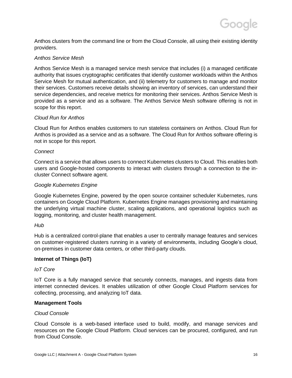Anthos clusters from the command line or from the Cloud Console, all using their existing identity providers.

# *Anthos Service Mesh*

Anthos Service Mesh is a managed service mesh service that includes (i) a managed certificate authority that issues cryptographic certificates that identify customer workloads within the Anthos Service Mesh for mutual authentication, and (ii) telemetry for customers to manage and monitor their services. Customers receive details showing an inventory of services, can understand their service dependencies, and receive metrics for monitoring their services. Anthos Service Mesh is provided as a service and as a software. The Anthos Service Mesh software offering is not in scope for this report.

# *Cloud Run for Anthos*

Cloud Run for Anthos enables customers to run stateless containers on Anthos. Cloud Run for Anthos is provided as a service and as a software. The Cloud Run for Anthos software offering is not in scope for this report.

# *Connect*

Connect is a service that allows users to connect Kubernetes clusters to Cloud. This enables both users and Google-hosted components to interact with clusters through a connection to the incluster Connect software agent.

# *Google Kubernetes Engine*

Google Kubernetes Engine, powered by the open source container scheduler Kubernetes, runs containers on Google Cloud Platform. Kubernetes Engine manages provisioning and maintaining the underlying virtual machine cluster, scaling applications, and operational logistics such as logging, monitoring, and cluster health management.

# *Hub*

Hub is a centralized control-plane that enables a user to centrally manage features and services on customer-registered clusters running in a variety of environments, including Google's cloud, on-premises in customer data centers, or other third-party clouds.

# **Internet of Things (IoT)**

# *IoT Core*

IoT Core is a fully managed service that securely connects, manages, and ingests data from internet connected devices. It enables utilization of other Google Cloud Platform services for collecting, processing, and analyzing IoT data.

# **Management Tools**

# *Cloud Console*

Cloud Console is a web-based interface used to build, modify, and manage services and resources on the Google Cloud Platform. Cloud services can be procured, configured, and run from Cloud Console.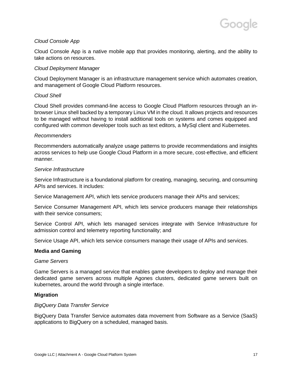# *Cloud Console App*

Cloud Console App is a native mobile app that provides monitoring, alerting, and the ability to take actions on resources.

# *Cloud Deployment Manager*

Cloud Deployment Manager is an infrastructure management service which automates creation, and management of Google Cloud Platform resources.

# *Cloud Shell*

Cloud Shell provides command-line access to Google Cloud Platform resources through an inbrowser Linux shell backed by a temporary Linux VM in the cloud. It allows projects and resources to be managed without having to install additional tools on systems and comes equipped and configured with common developer tools such as text editors, a MySql client and Kubernetes.

#### *Recommenders*

Recommenders automatically analyze usage patterns to provide recommendations and insights across services to help use Google Cloud Platform in a more secure, cost-effective, and efficient manner.

#### *Service Infrastructure*

Service Infrastructure is a foundational platform for creating, managing, securing, and consuming APIs and services. It includes:

Service Management API, which lets service producers manage their APIs and services;

Service Consumer Management API, which lets service producers manage their relationships with their service consumers:

Service Control API, which lets managed services integrate with Service Infrastructure for admission control and telemetry reporting functionality; and

Service Usage API, which lets service consumers manage their usage of APIs and services.

# **Media and Gaming**

#### *Game Servers*

Game Servers is a managed service that enables game developers to deploy and manage their dedicated game servers across multiple Agones clusters, dedicated game servers built on kubernetes, around the world through a single interface.

# **Migration**

#### *BigQuery Data Transfer Service*

BigQuery Data Transfer Service automates data movement from Software as a Service (SaaS) applications to BigQuery on a scheduled, managed basis.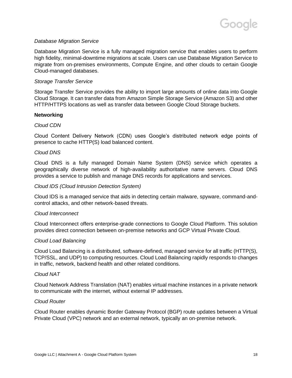# *Database Migration Service*

Database Migration Service is a fully managed migration service that enables users to perform high fidelity, minimal-downtime migrations at scale. Users can use Database Migration Service to migrate from on-premises environments, Compute Engine, and other clouds to certain Google Cloud-managed databases.

# *Storage Transfer Service*

Storage Transfer Service provides the ability to import large amounts of online data into Google Cloud Storage. It can transfer data from Amazon Simple Storage Service (Amazon S3) and other HTTP/HTTPS locations as well as transfer data between Google Cloud Storage buckets.

# **Networking**

# *Cloud CDN*

Cloud Content Delivery Network (CDN) uses Google's distributed network edge points of presence to cache HTTP(S) load balanced content.

# *Cloud DNS*

Cloud DNS is a fully managed Domain Name System (DNS) service which operates a geographically diverse network of high-availability authoritative name servers. Cloud DNS provides a service to publish and manage DNS records for applications and services.

# *Cloud IDS (Cloud Intrusion Detection System)*

Cloud IDS is a managed service that aids in detecting certain malware, spyware, command-andcontrol attacks, and other network-based threats.

# *Cloud Interconnect*

Cloud Interconnect offers enterprise-grade connections to Google Cloud Platform. This solution provides direct connection between on-premise networks and GCP Virtual Private Cloud.

# *Cloud Load Balancing*

Cloud Load Balancing is a distributed, software-defined, managed service for all traffic (HTTP(S), TCP/SSL, and UDP) to computing resources. Cloud Load Balancing rapidly responds to changes in traffic, network, backend health and other related conditions.

# *Cloud NAT*

Cloud Network Address Translation (NAT) enables virtual machine instances in a private network to communicate with the internet, without external IP addresses.

# *Cloud Router*

Cloud Router enables dynamic Border Gateway Protocol (BGP) route updates between a Virtual Private Cloud (VPC) network and an external network, typically an on-premise network.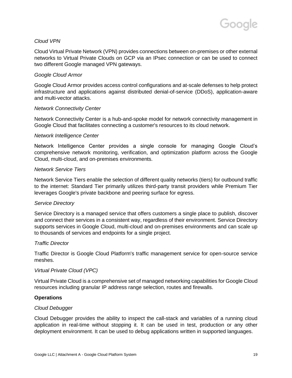# *Cloud VPN*

Cloud Virtual Private Network (VPN) provides connections between on-premises or other external networks to Virtual Private Clouds on GCP via an IPsec connection or can be used to connect two different Google managed VPN gateways.

# *Google Cloud Armor*

Google Cloud Armor provides access control configurations and at-scale defenses to help protect infrastructure and applications against distributed denial-of-service (DDoS), application-aware and multi-vector attacks.

# *Network Connectivity Center*

Network Connectivity Center is a hub-and-spoke model for network connectivity management in Google Cloud that facilitates connecting a customer's resources to its cloud network.

# *Network Intelligence Center*

Network Intelligence Center provides a single console for managing Google Cloud's comprehensive network monitoring, verification, and optimization platform across the Google Cloud, multi-cloud, and on-premises environments.

# *Network Service Tiers*

Network Service Tiers enable the selection of different quality networks (tiers) for outbound traffic to the internet: Standard Tier primarily utilizes third-party transit providers while Premium Tier leverages Google's private backbone and peering surface for egress.

# *Service Directory*

Service Directory is a managed service that offers customers a single place to publish, discover and connect their services in a consistent way, regardless of their environment. Service Directory supports services in Google Cloud, multi-cloud and on-premises environments and can scale up to thousands of services and endpoints for a single project.

# *Traffic Director*

Traffic Director is Google Cloud Platform's traffic management service for open-source service meshes.

# *Virtual Private Cloud (VPC)*

Virtual Private Cloud is a comprehensive set of managed networking capabilities for Google Cloud resources including granular IP address range selection, routes and firewalls.

# **Operations**

# *Cloud Debugger*

Cloud Debugger provides the ability to inspect the call-stack and variables of a running cloud application in real-time without stopping it. It can be used in test, production or any other deployment environment. It can be used to debug applications written in supported languages.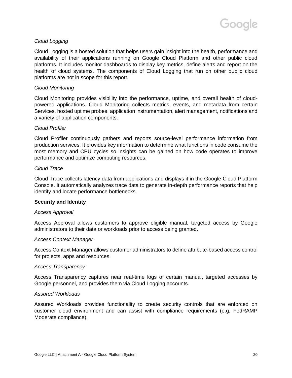# *Cloud Logging*

Cloud Logging is a hosted solution that helps users gain insight into the health, performance and availability of their applications running on Google Cloud Platform and other public cloud platforms. It includes monitor dashboards to display key metrics, define alerts and report on the health of cloud systems. The components of Cloud Logging that run on other public cloud platforms are not in scope for this report.

# *Cloud Monitoring*

Cloud Monitoring provides visibility into the performance, uptime, and overall health of cloudpowered applications. Cloud Monitoring collects metrics, events, and metadata from certain Services, hosted uptime probes, application instrumentation, alert management, notifications and a variety of application components.

# *Cloud Profiler*

Cloud Profiler continuously gathers and reports source-level performance information from production services. It provides key information to determine what functions in code consume the most memory and CPU cycles so insights can be gained on how code operates to improve performance and optimize computing resources.

# *Cloud Trace*

Cloud Trace collects latency data from applications and displays it in the Google Cloud Platform Console. It automatically analyzes trace data to generate in-depth performance reports that help identify and locate performance bottlenecks.

# **Security and Identity**

# *Access Approval*

Access Approval allows customers to approve eligible manual, targeted access by Google administrators to their data or workloads prior to access being granted.

# *Access Context Manager*

Access Context Manager allows customer administrators to define attribute-based access control for projects, apps and resources.

# *Access Transparency*

Access Transparency captures near real-time logs of certain manual, targeted accesses by Google personnel, and provides them via Cloud Logging accounts.

# *Assured Workloads*

Assured Workloads provides functionality to create security controls that are enforced on customer cloud environment and can assist with compliance requirements (e.g. FedRAMP Moderate compliance).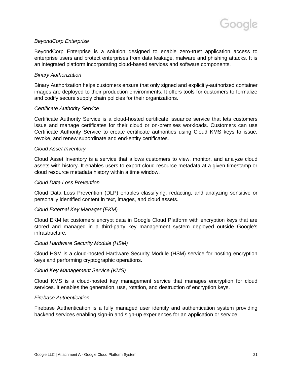# *BeyondCorp Enterprise*

BeyondCorp Enterprise is a solution designed to enable zero-trust application access to enterprise users and protect enterprises from data leakage, malware and phishing attacks. It is an integrated platform incorporating cloud-based services and software components.

# *Binary Authorization*

Binary Authorization helps customers ensure that only signed and explicitly-authorized container images are deployed to their production environments. It offers tools for customers to formalize and codify secure supply chain policies for their organizations.

#### *Certificate Authority Service*

Certificate Authority Service is a cloud-hosted certificate issuance service that lets customers issue and manage certificates for their cloud or on-premises workloads. Customers can use Certificate Authority Service to create certificate authorities using Cloud KMS keys to issue, revoke, and renew subordinate and end-entity certificates.

# *Cloud Asset Inventory*

Cloud Asset Inventory is a service that allows customers to view, monitor, and analyze cloud assets with history. It enables users to export cloud resource metadata at a given timestamp or cloud resource metadata history within a time window.

#### *Cloud Data Loss Prevention*

Cloud Data Loss Prevention (DLP) enables classifying, redacting, and analyzing sensitive or personally identified content in text, images, and cloud assets.

# *Cloud External Key Manager (EKM)*

Cloud EKM let customers encrypt data in Google Cloud Platform with encryption keys that are stored and managed in a third-party key management system deployed outside Google's infrastructure.

#### *Cloud Hardware Security Module (HSM)*

Cloud HSM is a cloud-hosted Hardware Security Module (HSM) service for hosting encryption keys and performing cryptographic operations.

# *Cloud Key Management Service (KMS)*

Cloud KMS is a cloud-hosted key management service that manages encryption for cloud services. It enables the generation, use, rotation, and destruction of encryption keys.

#### *Firebase Authentication*

Firebase Authentication is a fully managed user identity and authentication system providing backend services enabling sign-in and sign-up experiences for an application or service.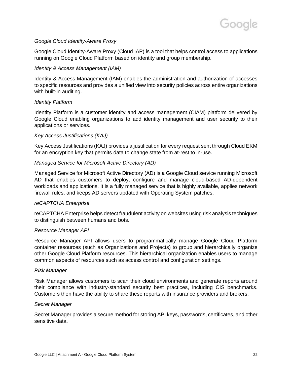

# *Google Cloud Identity-Aware Proxy*

Google Cloud Identity-Aware Proxy (Cloud IAP) is a tool that helps control access to applications running on Google Cloud Platform based on identity and group membership.

# *Identity & Access Management (IAM)*

Identity & Access Management (IAM) enables the administration and authorization of accesses to specific resources and provides a unified view into security policies across entire organizations with built-in auditing.

# *Identity Platform*

Identity Platform is a customer identity and access management (CIAM) platform delivered by Google Cloud enabling organizations to add identity management and user security to their applications or services.

# *Key Access Justifications (KAJ)*

Key Access Justifications (KAJ) provides a justification for every request sent through Cloud EKM for an encryption key that permits data to change state from at-rest to in-use.

# *Managed Service for Microsoft Active Directory (AD)*

Managed Service for Microsoft Active Directory (AD) is a Google Cloud service running Microsoft AD that enables customers to deploy, configure and manage cloud-based AD-dependent workloads and applications. It is a fully managed service that is highly available, applies network firewall rules, and keeps AD servers updated with Operating System patches.

# *reCAPTCHA Enterprise*

reCAPTCHA Enterprise helps detect fraudulent activity on websites using risk analysis techniques to distinguish between humans and bots.

# *Resource Manager API*

Resource Manager API allows users to programmatically manage Google Cloud Platform container resources (such as Organizations and Projects) to group and hierarchically organize other Google Cloud Platform resources. This hierarchical organization enables users to manage common aspects of resources such as access control and configuration settings.

# *Risk Manager*

Risk Manager allows customers to scan their cloud environments and generate reports around their compliance with industry-standard security best practices, including CIS benchmarks. Customers then have the ability to share these reports with insurance providers and brokers.

# *Secret Manager*

Secret Manager provides a secure method for storing API keys, passwords, certificates, and other sensitive data.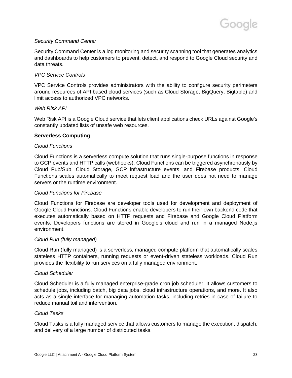# *Security Command Center*

Security Command Center is a log monitoring and security scanning tool that generates analytics and dashboards to help customers to prevent, detect, and respond to Google Cloud security and data threats.

# *VPC Service Controls*

VPC Service Controls provides administrators with the ability to configure security perimeters around resources of API based cloud services (such as Cloud Storage, BigQuery, Bigtable) and limit access to authorized VPC networks.

# *Web Risk API*

Web Risk API is a Google Cloud service that lets client applications check URLs against Google's constantly updated lists of unsafe web resources.

# **Serverless Computing**

# *Cloud Functions*

Cloud Functions is a serverless compute solution that runs single-purpose functions in response to GCP events and HTTP calls (webhooks). Cloud Functions can be triggered asynchronously by Cloud Pub/Sub, Cloud Storage, GCP infrastructure events, and Firebase products. Cloud Functions scales automatically to meet request load and the user does not need to manage servers or the runtime environment.

# *Cloud Functions for Firebase*

Cloud Functions for Firebase are developer tools used for development and deployment of Google Cloud Functions. Cloud Functions enable developers to run their own backend code that executes automatically based on HTTP requests and Firebase and Google Cloud Platform events. Developers functions are stored in Google's cloud and run in a managed Node.js environment.

# *Cloud Run (fully managed)*

Cloud Run (fully managed) is a serverless, managed compute platform that automatically scales stateless HTTP containers, running requests or event-driven stateless workloads. Cloud Run provides the flexibility to run services on a fully managed environment.

# *Cloud Scheduler*

Cloud Scheduler is a fully managed enterprise-grade cron job scheduler. It allows customers to schedule jobs, including batch, big data jobs, cloud infrastructure operations, and more. It also acts as a single interface for managing automation tasks, including retries in case of failure to reduce manual toil and intervention.

# *Cloud Tasks*

Cloud Tasks is a fully managed service that allows customers to manage the execution, dispatch, and delivery of a large number of distributed tasks.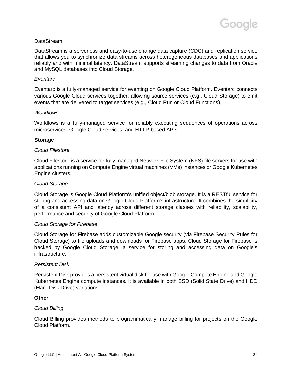

# **DataStream**

DataStream is a serverless and easy-to-use change data capture (CDC) and replication service that allows you to synchronize data streams across heterogeneous databases and applications reliably and with minimal latency. DataStream supports streaming changes to data from Oracle and MySQL databases into Cloud Storage.

#### *Eventarc*

Eventarc is a fully-managed service for eventing on Google Cloud Platform. Eventarc connects various Google Cloud services together, allowing source services (e.g., Cloud Storage) to emit events that are delivered to target services (e.g., Cloud Run or Cloud Functions).

#### *Workflows*

Workflows is a fully-managed service for reliably executing sequences of operations across microservices, Google Cloud services, and HTTP-based APIs

#### **Storage**

#### *Cloud Filestore*

Cloud Filestore is a service for fully managed Network File System (NFS) file servers for use with applications running on Compute Engine virtual machines (VMs) instances or Google Kubernetes Engine clusters.

#### *Cloud Storage*

Cloud Storage is Google Cloud Platform's unified object/blob storage. It is a RESTful service for storing and accessing data on Google Cloud Platform's infrastructure. It combines the simplicity of a consistent API and latency across different storage classes with reliability, scalability, performance and security of Google Cloud Platform.

#### *Cloud Storage for Firebase*

Cloud Storage for Firebase adds customizable Google security (via Firebase Security Rules for Cloud Storage) to file uploads and downloads for Firebase apps. Cloud Storage for Firebase is backed by Google Cloud Storage, a service for storing and accessing data on Google's infrastructure.

#### *Persistent Disk*

Persistent Disk provides a persistent virtual disk for use with Google Compute Engine and Google Kubernetes Engine compute instances. It is available in both SSD (Solid State Drive) and HDD (Hard Disk Drive) variations.

# **Other**

# *Cloud Billing*

Cloud Billing provides methods to programmatically manage billing for projects on the Google Cloud Platform.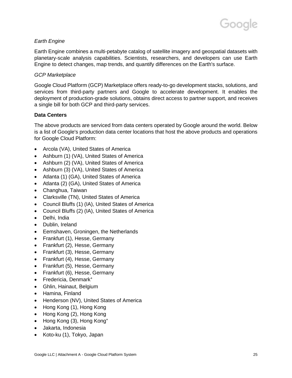# *Earth Engine*

Earth Engine combines a multi-petabyte catalog of satellite imagery and geospatial datasets with planetary-scale analysis capabilities. Scientists, researchers, and developers can use Earth Engine to detect changes, map trends, and quantify differences on the Earth's surface.

# *GCP Marketplace*

Google Cloud Platform (GCP) Marketplace offers ready-to-go development stacks, solutions, and services from third-party partners and Google to accelerate development. It enables the deployment of production-grade solutions, obtains direct access to partner support, and receives a single bill for both GCP and third-party services.

# **Data Centers**

The above products are serviced from data centers operated by Google around the world. Below is a list of Google's production data center locations that host the above products and operations for Google Cloud Platform:

- Arcola (VA), United States of America
- Ashburn (1) (VA), United States of America
- Ashburn (2) (VA), United States of America
- Ashburn (3) (VA), United States of America
- Atlanta (1) (GA), United States of America
- Atlanta (2) (GA), United States of America
- Changhua, Taiwan
- Clarksville (TN), United States of America
- Council Bluffs (1) (IA), United States of America
- Council Bluffs (2) (IA), United States of America
- Delhi, India
- Dublin, Ireland
- Eemshaven, Groningen, the Netherlands
- Frankfurt (1), Hesse, Germany
- Frankfurt (2), Hesse, Germany
- Frankfurt (3), Hesse, Germany
- Frankfurt (4), Hesse, Germany
- Frankfurt (5), Hesse, Germany
- Frankfurt (6), Hesse, Germany
- Fredericia, Denmark<sup>+</sup>
- Ghlin, Hainaut, Belgium
- Hamina, Finland
- Henderson (NV), United States of America
- Hong Kong (1), Hong Kong
- Hong Kong (2), Hong Kong
- Hong Kong  $(3)$ , Hong Kong<sup>+</sup>
- Jakarta, Indonesia
- Koto-ku (1), Tokyo, Japan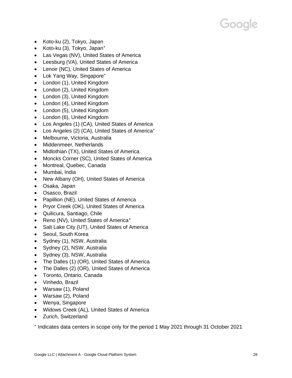- Koto-ku (2), Tokyo, Japan
- Koto-ku  $(3)$ , Tokyo, Japan $<sup>+</sup>$ </sup>
- Las Vegas (NV), United States of America
- Leesburg (VA), United States of America
- Lenoir (NC), United States of America
- Lok Yang Way, Singapore<sup>+</sup>
- London (1), United Kingdom
- London (2), United Kingdom
- London (3), United Kingdom
- London (4), United Kingdom
- London (5), United Kingdom
- London (6), United Kingdom
- Los Angeles (1) (CA), United States of America
- Los Angeles (2) (CA), United States of America<sup>+</sup>
- Melbourne, Victoria, Australia
- Middenmeer, Netherlands
- Midlothian (TX), United States of America
- Moncks Corner (SC), United States of America
- Montreal, Quebec, Canada
- Mumbai, India
- New Albany (OH), United States of America
- Osaka, Japan
- Osasco, Brazil
- Papillion (NE), United States of America
- Pryor Creek (OK), United States of America
- Quilicura, Santiago, Chile
- Reno (NV), United States of America<sup>+</sup>
- Salt Lake City (UT), United States of America
- Seoul, South Korea
- Sydney (1), NSW, Australia
- Sydney (2), NSW, Australia
- Sydney (3), NSW, Australia
- The Dalles (1) (OR), United States of America
- The Dalles (2) (OR), United States of America
- Toronto, Ontario, Canada
- Vinhedo, Brazil
- Warsaw (1), Poland
- Warsaw (2), Poland
- Wenya, Singapore
- Widows Creek (AL), United States of America
- Zurich, Switzerland

⁺ Indicates data centers in scope only for the period 1 May 2021 through 31 October 2021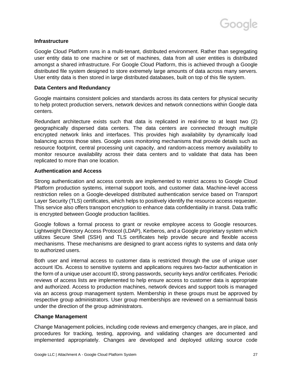# **Infrastructure**

Google Cloud Platform runs in a multi-tenant, distributed environment. Rather than segregating user entity data to one machine or set of machines, data from all user entities is distributed amongst a shared infrastructure. For Google Cloud Platform, this is achieved through a Google distributed file system designed to store extremely large amounts of data across many servers. User entity data is then stored in large distributed databases, built on top of this file system.

# **Data Centers and Redundancy**

Google maintains consistent policies and standards across its data centers for physical security to help protect production servers, network devices and network connections within Google data centers.

Redundant architecture exists such that data is replicated in real-time to at least two (2) geographically dispersed data centers. The data centers are connected through multiple encrypted network links and interfaces. This provides high availability by dynamically load balancing across those sites. Google uses monitoring mechanisms that provide details such as resource footprint, central processing unit capacity, and random-access memory availability to monitor resource availability across their data centers and to validate that data has been replicated to more than one location.

# **Authentication and Access**

Strong authentication and access controls are implemented to restrict access to Google Cloud Platform production systems, internal support tools, and customer data. Machine-level access restriction relies on a Google-developed distributed authentication service based on Transport Layer Security (TLS) certificates, which helps to positively identify the resource access requester. This service also offers transport encryption to enhance data confidentiality in transit. Data traffic is encrypted between Google production facilities.

Google follows a formal process to grant or revoke employee access to Google resources. Lightweight Directory Access Protocol (LDAP), Kerberos, and a Google proprietary system which utilizes Secure Shell (SSH) and TLS certificates help provide secure and flexible access mechanisms. These mechanisms are designed to grant access rights to systems and data only to authorized users.

Both user and internal access to customer data is restricted through the use of unique user account IDs. Access to sensitive systems and applications requires two-factor authentication in the form of a unique user account ID, strong passwords, security keys and/or certificates. Periodic reviews of access lists are implemented to help ensure access to customer data is appropriate and authorized. Access to production machines, network devices and support tools is managed via an access group management system. Membership in these groups must be approved by respective group administrators. User group memberships are reviewed on a semiannual basis under the direction of the group administrators.

# **Change Management**

Change Management policies, including code reviews and emergency changes, are in place, and procedures for tracking, testing, approving, and validating changes are documented and implemented appropriately. Changes are developed and deployed utilizing source code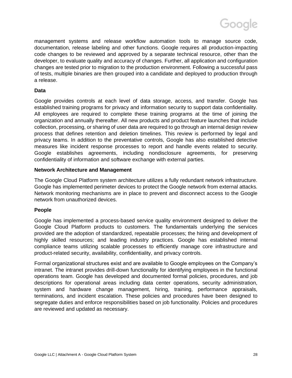

management systems and release workflow automation tools to manage source code, documentation, release labeling and other functions. Google requires all production-impacting code changes to be reviewed and approved by a separate technical resource, other than the developer, to evaluate quality and accuracy of changes. Further, all application and configuration changes are tested prior to migration to the production environment. Following a successful pass of tests, multiple binaries are then grouped into a candidate and deployed to production through a release.

# **Data**

Google provides controls at each level of data storage, access, and transfer. Google has established training programs for privacy and information security to support data confidentiality. All employees are required to complete these training programs at the time of joining the organization and annually thereafter. All new products and product feature launches that include collection, processing, or sharing of user data are required to go through an internal design review process that defines retention and deletion timelines. This review is performed by legal and privacy teams. In addition to the preventative controls, Google has also established detective measures like incident response processes to report and handle events related to security. Google establishes agreements, including nondisclosure agreements, for preserving confidentiality of information and software exchange with external parties.

# **Network Architecture and Management**

The Google Cloud Platform system architecture utilizes a fully redundant network infrastructure. Google has implemented perimeter devices to protect the Google network from external attacks. Network monitoring mechanisms are in place to prevent and disconnect access to the Google network from unauthorized devices.

# **People**

Google has implemented a process-based service quality environment designed to deliver the Google Cloud Platform products to customers. The fundamentals underlying the services provided are the adoption of standardized, repeatable processes; the hiring and development of highly skilled resources; and leading industry practices. Google has established internal compliance teams utilizing scalable processes to efficiently manage core infrastructure and product-related security, availability, confidentiality, and privacy controls.

Formal organizational structures exist and are available to Google employees on the Company's intranet. The intranet provides drill-down functionality for identifying employees in the functional operations team. Google has developed and documented formal policies, procedures, and job descriptions for operational areas including data center operations, security administration, system and hardware change management, hiring, training, performance appraisals, terminations, and incident escalation. These policies and procedures have been designed to segregate duties and enforce responsibilities based on job functionality. Policies and procedures are reviewed and updated as necessary.